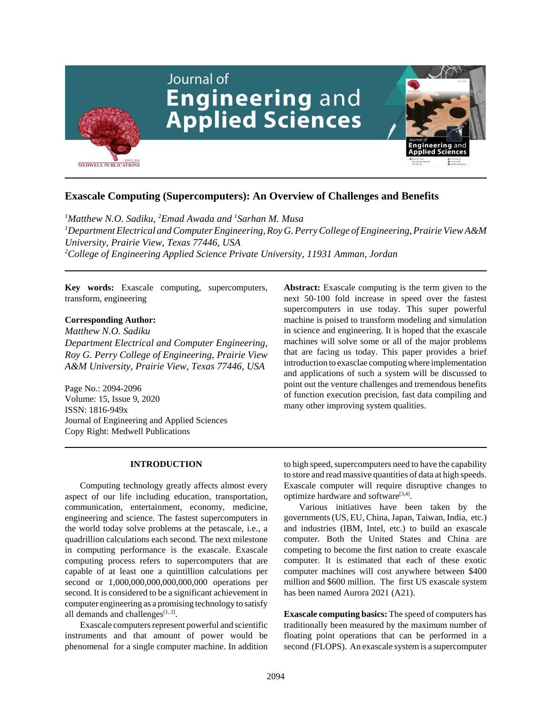

# **Exascale Computing (Supercomputers): An Overview of Challenges and Benefits**

 *Matthew N.O. Sadiku, 2 Emad Awada and 1 Sarhan M. Musa Department Electrical and Computer Engineering, Roy G. Perry College of Engineering, Prairie View A&M University, Prairie View, Texas 77446, USA College of Engineering Applied Science Private University, 11931 Amman, Jordan*

**Key words:** Exascale computing, supercomputers, transform, engineering

## **Corresponding Author:**

*Matthew N.O. Sadiku Department Electrical and Computer Engineering, Roy G. Perry College of Engineering, Prairie View A&M University, Prairie View, Texas 77446, USA*

Page No.: 2094-2096 Volume: 15, Issue 9, 2020 ISSN: 1816-949x Journal of Engineering and Applied Sciences Copy Right: Medwell Publications

#### **INTRODUCTION**

Computing technology greatly affects almost every aspect of our life including education, transportation, communication, entertainment, economy, medicine, engineering and science. The fastest supercomputers in the world today solve problems at the petascale, i.e., a quadrillion calculations each second. The next milestone in computing performance is the exascale. Exascale computing process refers to supercomputers that are capable of at least one a quintillion calculations per second or 1,000,000,000,000,000,000 operations per second. It is considered to be a significant achievement in computer engineering as a promising technology to satisfy all demands and challenges $[1, 2]$ .

Exascale computers represent powerful and scientific instruments and that amount of power would be phenomenal for a single computer machine. In addition

**Abstract:** Exascale computing is the term given to the next 50-100 fold increase in speed over the fastest supercomputers in use today. This super powerful machine is poised to transform modeling and simulation in science and engineering. It is hoped that the exascale machines will solve some or all of the major problems that are facing us today. This paper provides a brief introduction to exasclae computing where implementation and applications of such a system will be discussed to point out the venture challenges and tremendous benefits of function execution precision, fast data compiling and many other improving system qualities.

to high speed, supercomputers need to have the capability to store and read massive quantities of data at high speeds. Exascale computer will require disruptive changes to optimize hardware and software $[3,4]$ .

Various initiatives have been taken by the governments (US, EU, China, Japan, Taiwan, India, etc.) and industries (IBM, Intel, etc.) to build an exascale computer. Both the United States and China are competing to become the first nation to create exascale computer. It is estimated that each of these exotic computer machines will cost anywhere between \$400 million and \$600 million. The first US exascale system has been named Aurora 2021 (A21).

**Exascale computing basics:** The speed of computers has traditionally been measured by the maximum number of floating point operations that can be performed in a second (FLOPS). An exascale system is a supercomputer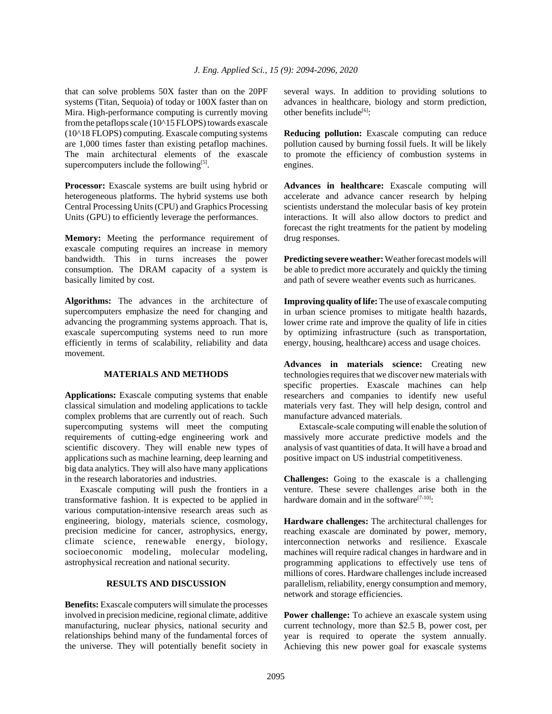that can solve problems 50X faster than on the 20PF systems (Titan, Sequoia) of today or 100X faster than on Mira. High-performance computing is currently moving from the petaflops scale (10^15 FLOPS) towards exascale (10^18 FLOPS) computing. Exascale computing systems are 1,000 times faster than existing petaflop machines. The main architectural elements of the exascale supercomputers include the following $[5]$ .

**Processor:** Exascale systems are built using hybrid or heterogeneous platforms. The hybrid systems use both Central Processing Units (CPU) and Graphics Processing Units (GPU) to efficiently leverage the performances.

**Memory:** Meeting the performance requirement of exascale computing requires an increase in memory bandwidth. This in turns increases the power consumption. The DRAM capacity of a system is basically limited by cost.

**Algorithms:** The advances in the architecture of supercomputers emphasize the need for changing and advancing the programming systems approach. That is, exascale supercomputing systems need to run more efficiently in terms of scalability, reliability and data movement.

### **MATERIALS AND METHODS**

**Applications:** Exascale computing systems that enable classical simulation and modeling applications to tackle complex problems that are currently out of reach. Such supercomputing systems will meet the computing requirements of cutting-edge engineering work and scientific discovery. They will enable new types of applications such as machine learning, deep learning and big data analytics. They will also have many applications in the research laboratories and industries.

Exascale computing will push the frontiers in a transformative fashion. It is expected to be applied in various computation-intensive research areas such as engineering, biology, materials science, cosmology, precision medicine for cancer, astrophysics, energy, climate science, renewable energy, biology, socioeconomic modeling, molecular modeling, astrophysical recreation and national security.

### **RESULTS AND DISCUSSION**

**Benefits:** Exascale computers will simulate the processes involved in precision medicine, regional climate, additive manufacturing, nuclear physics, national security and relationships behind many of the fundamental forces of the universe. They will potentially benefit society in

several ways. In addition to providing solutions to advances in healthcare, biology and storm prediction, other benefits include<sup>[6]</sup>:

**Reducing pollution:** Exascale computing can reduce pollution caused by burning fossil fuels. It will be likely to promote the efficiency of combustion systems in engines.

**Advances in healthcare:** Exascale computing will accelerate and advance cancer research by helping scientists understand the molecular basis of key protein interactions. It will also allow doctors to predict and forecast the right treatments for the patient by modeling drug responses.

**Predicting severe weather:** Weather forecast models will be able to predict more accurately and quickly the timing and path of severe weather events such as hurricanes.

**Improving quality of life:** The use of exascale computing in urban science promises to mitigate health hazards, lower crime rate and improve the quality of life in cities by optimizing infrastructure (such as transportation, energy, housing, healthcare) access and usage choices.

**Advances in materials science:** Creating new technologies requires that we discover new materials with specific properties. Exascale machines can help researchers and companies to identify new useful materials very fast. They will help design, control and manufacture advanced materials.

Extascale-scale computing will enable the solution of massively more accurate predictive models and the analysis of vast quantities of data. It will have a broad and positive impact on US industrial competitiveness.

**Challenges:** Going to the exascale is a challenging venture. These severe challenges arise both in the hardware domain and in the software<sup>[7-10]</sup>:

**Hardware challenges:** The architectural challenges for reaching exascale are dominated by power, memory, interconnection networks and resilience. Exascale machines will require radical changes in hardware and in programming applications to effectively use tens of millions of cores. Hardware challenges include increased parallelism, reliability, energy consumption and memory, network and storage efficiencies.

**Power challenge:** To achieve an exascale system using current technology, more than \$2.5 B, power cost, per year is required to operate the system annually. Achieving this new power goal for exascale systems